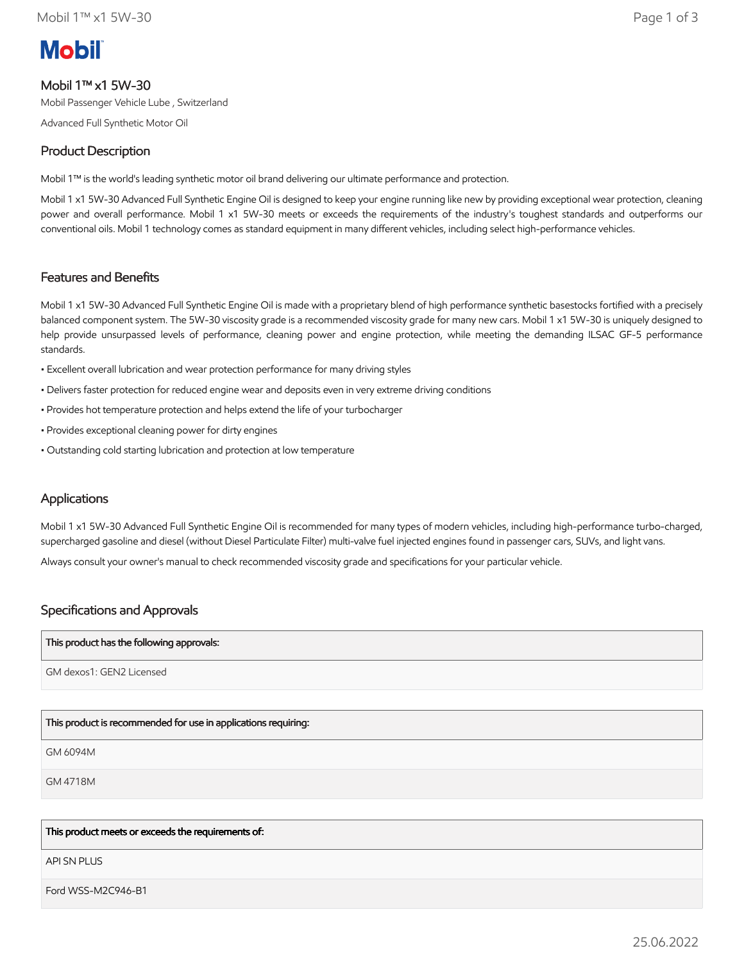# **Mobil**

# Mobil 1™ x1 5W-30

Mobil Passenger Vehicle Lube , Switzerland

Advanced Full Synthetic Motor Oil

# Product Description

Mobil 1™ is the world's leading synthetic motor oil brand delivering our ultimate performance and protection.

Mobil 1 x1 5W-30 Advanced Full Synthetic Engine Oil is designed to keep your engine running like new by providing exceptional wear protection, cleaning power and overall performance. Mobil 1 x1 5W-30 meets or exceeds the requirements of the industry's toughest standards and outperforms our conventional oils. Mobil 1 technology comes as standard equipment in many different vehicles, including select high-performance vehicles.

# Features and Benefits

Mobil 1 x1 5W-30 Advanced Full Synthetic Engine Oil is made with a proprietary blend of high performance synthetic basestocks fortified with a precisely balanced component system. The 5W-30 viscosity grade is a recommended viscosity grade for many new cars. Mobil 1 x1 5W-30 is uniquely designed to help provide unsurpassed levels of performance, cleaning power and engine protection, while meeting the demanding ILSAC GF-5 performance standards.

- Excellent overall lubrication and wear protection performance for many driving styles
- Delivers faster protection for reduced engine wear and deposits even in very extreme driving conditions
- Provides hot temperature protection and helps extend the life of your turbocharger
- Provides exceptional cleaning power for dirty engines
- Outstanding cold starting lubrication and protection at low temperature

## **Applications**

Mobil 1 x1 5W-30 Advanced Full Synthetic Engine Oil is recommended for many types of modern vehicles, including high-performance turbo-charged, supercharged gasoline and diesel (without Diesel Particulate Filter) multi-valve fuel injected engines found in passenger cars, SUVs, and light vans.

Always consult your owner's manual to check recommended viscosity grade and specifications for your particular vehicle.

## Specifications and Approvals

#### This product has the following approvals:

GM dexos1: GEN2 Licensed

## This product is recommended for use in applications requiring:

GM 6094M

GM 4718M

### This product meets or exceeds the requirements of:

**API SN PLUS** 

Ford WSS-M2C946-B1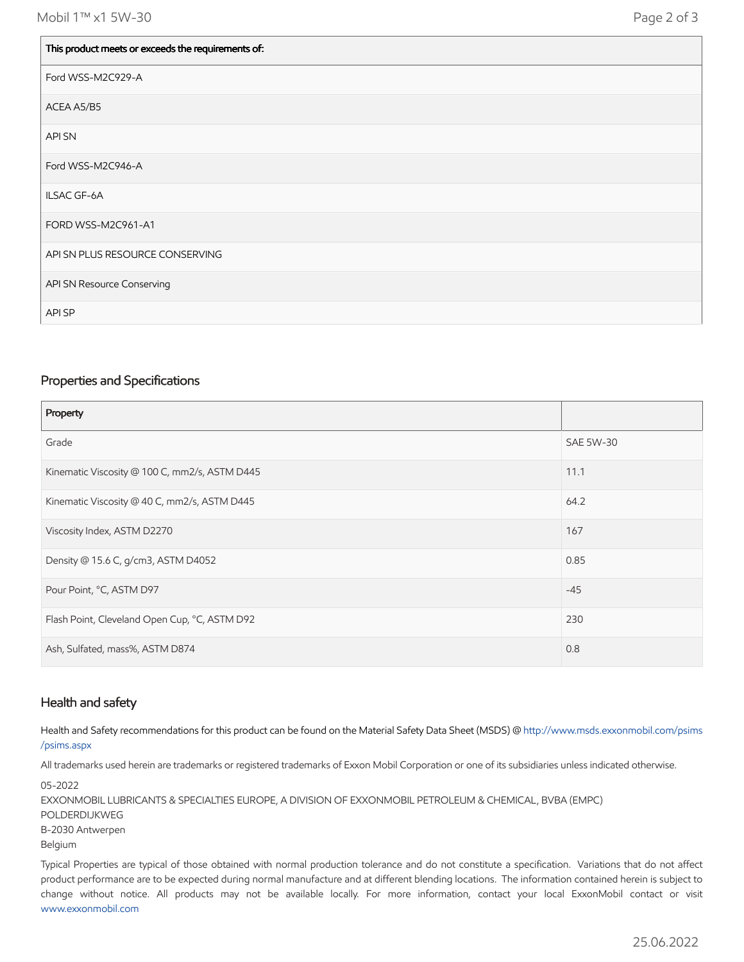$\mathbf{L}$ 

| This product meets or exceeds the requirements of: |
|----------------------------------------------------|
| Ford WSS-M2C929-A                                  |
| ACEA A5/B5                                         |
| API SN                                             |
| Ford WSS-M2C946-A                                  |
| ILSAC GF-6A                                        |
| FORD WSS-M2C961-A1                                 |
| API SN PLUS RESOURCE CONSERVING                    |
| API SN Resource Conserving                         |
| API SP                                             |

#### Properties and Specifications

| Property                                      |                  |
|-----------------------------------------------|------------------|
| Grade                                         | <b>SAE 5W-30</b> |
| Kinematic Viscosity @ 100 C, mm2/s, ASTM D445 | 11.1             |
| Kinematic Viscosity @ 40 C, mm2/s, ASTM D445  | 64.2             |
| Viscosity Index, ASTM D2270                   | 167              |
| Density @ 15.6 C, g/cm3, ASTM D4052           | 0.85             |
| Pour Point, °C, ASTM D97                      | $-45$            |
| Flash Point, Cleveland Open Cup, °C, ASTM D92 | 230              |
| Ash, Sulfated, mass%, ASTM D874               | 0.8              |

#### Health and safety

Health and Safety recommendations for this product can be found on the Material Safety Data Sheet (MSDS) @ [http://www.msds.exxonmobil.com/psims](http://www.msds.exxonmobil.com/psims/psims.aspx) /psims.aspx

All trademarks used herein are trademarks or registered trademarks of Exxon Mobil Corporation or one of its subsidiaries unless indicated otherwise.

05-2022 EXXONMOBIL LUBRICANTS & SPECIALTIES EUROPE, A DIVISION OF EXXONMOBIL PETROLEUM & CHEMICAL, BVBA (EMPC) POLDERDIJKWEG B-2030 Antwerpen Belgium

Typical Properties are typical of those obtained with normal production tolerance and do not constitute a specification. Variations that do not affect product performance are to be expected during normal manufacture and at different blending locations. The information contained herein is subject to change without notice. All products may not be available locally. For more information, contact your local ExxonMobil contact or visit [www.exxonmobil.com](http://www.exxonmobil.com/)